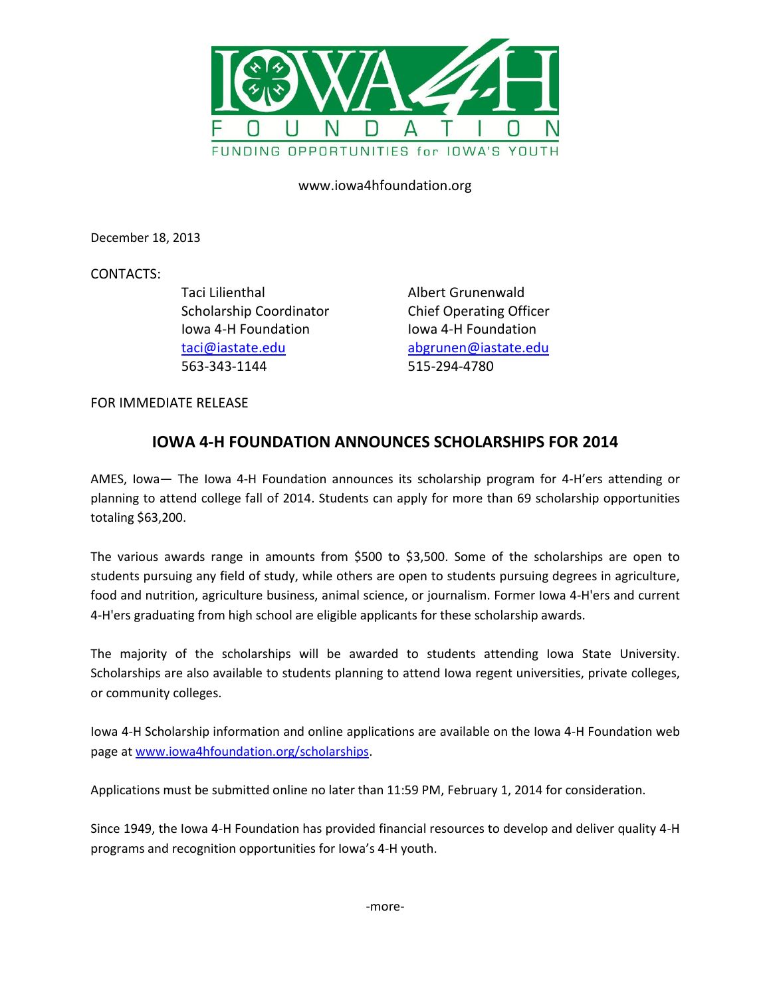

www.iowa4hfoundation.org

December 18, 2013

CONTACTS:

Taci Lilienthal Albert Grunenwald Iowa 4-H Foundation Iowa 4-H Foundation 563-343-1144 515-294-4780

Scholarship Coordinator Chief Operating Officer [taci@iastate.edu](mailto:taci@iastate.edu) [abgrunen@iastate.edu](mailto:abgrunen@iastate.edu)

FOR IMMEDIATE RELEASE

## **IOWA 4-H FOUNDATION ANNOUNCES SCHOLARSHIPS FOR 2014**

AMES, Iowa— The Iowa 4-H Foundation announces its scholarship program for 4-H'ers attending or planning to attend college fall of 2014. Students can apply for more than 69 scholarship opportunities totaling \$63,200.

The various awards range in amounts from \$500 to \$3,500. Some of the scholarships are open to students pursuing any field of study, while others are open to students pursuing degrees in agriculture, food and nutrition, agriculture business, animal science, or journalism. Former Iowa 4-H'ers and current 4-H'ers graduating from high school are eligible applicants for these scholarship awards.

The majority of the scholarships will be awarded to students attending Iowa State University. Scholarships are also available to students planning to attend Iowa regent universities, private colleges, or community colleges.

Iowa 4-H Scholarship information and online applications are available on the Iowa 4-H Foundation web page at [www.iowa4hfoundation.org/scholarships.](http://www.iowa4hfoundation.org/scholarships)

Applications must be submitted online no later than 11:59 PM, February 1, 2014 for consideration.

Since 1949, the Iowa 4-H Foundation has provided financial resources to develop and deliver quality 4-H programs and recognition opportunities for Iowa's 4-H youth.